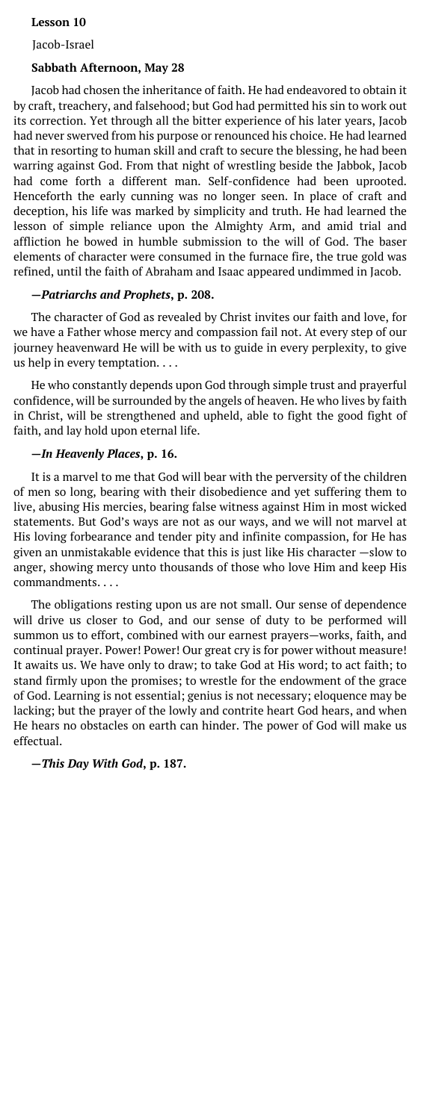# **Lesson 10**

Jacob-Israel

# **Sabbath Afternoon, May 28**

Jacob had chosen the inheritance of faith. He had endeavored to obtain it by craft, treachery, and falsehood; but God had permitted his sin to work out its correction. Yet through all the bitter experience of his later years, Jacob had never swerved from his purpose or renounced his choice. He had learned that in resorting to human skill and craft to secure the blessing, he had been warring against God. From that night of wrestling beside the Jabbok, Jacob had come forth a different man. Self-confidence had been uprooted. Henceforth the early cunning was no longer seen. In place of craft and deception, his life was marked by simplicity and truth. He had learned the lesson of simple reliance upon the Almighty Arm, and amid trial and affliction he bowed in humble submission to the will of God. The baser elements of character were consumed in the furnace fire, the true gold was refined, until the faith of Abraham and Isaac appeared undimmed in Jacob.

## **—***Patriarchs and Prophets***, p. 208.**

The character of God as revealed by Christ invites our faith and love, for we have a Father whose mercy and compassion fail not. At every step of our journey heavenward He will be with us to guide in every perplexity, to give us help in every temptation. . . .

He who constantly depends upon God through simple trust and prayerful confidence, will be surrounded by the angels of heaven. He who lives by faith in Christ, will be strengthened and upheld, able to fight the good fight of faith, and lay hold upon eternal life.

## **—***In Heavenly Places***, p. 16.**

It is a marvel to me that God will bear with the perversity of the children of men so long, bearing with their disobedience and yet suffering them to live, abusing His mercies, bearing false witness against Him in most wicked statements. But God's ways are not as our ways, and we will not marvel at His loving forbearance and tender pity and infinite compassion, for He has given an unmistakable evidence that this is just like His character —slow to anger, showing mercy unto thousands of those who love Him and keep His commandments. . . .

The obligations resting upon us are not small. Our sense of dependence will drive us closer to God, and our sense of duty to be performed will summon us to effort, combined with our earnest prayers—works, faith, and continual prayer. Power! Power! Our great cry is for power without measure! It awaits us. We have only to draw; to take God at His word; to act faith; to stand firmly upon the promises; to wrestle for the endowment of the grace of God. Learning is not essential; genius is not necessary; eloquence may be lacking; but the prayer of the lowly and contrite heart God hears, and when He hears no obstacles on earth can hinder. The power of God will make us effectual.

# **—***This Day With God***, p. 187.**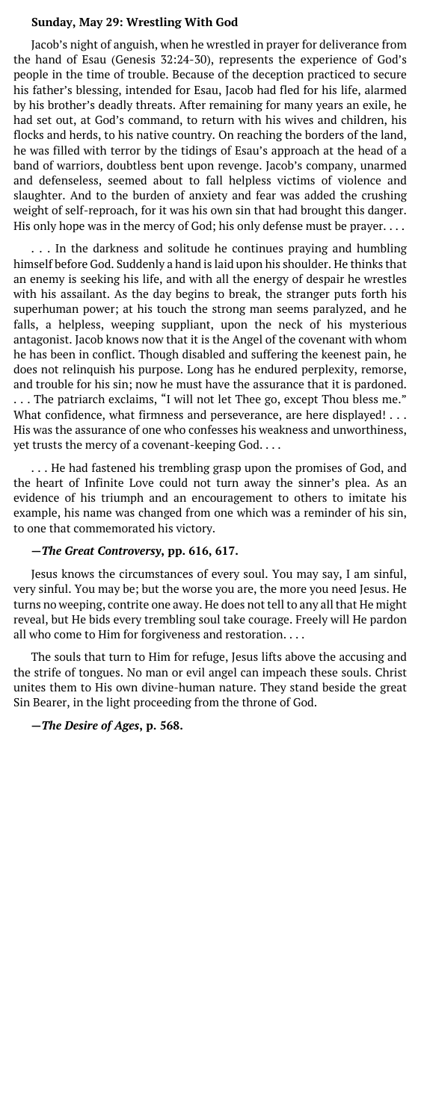## **Sunday, May 29: Wrestling With God**

Jacob's night of anguish, when he wrestled in prayer for deliverance from the hand of Esau (Genesis 32:24-30), represents the experience of God's people in the time of trouble. Because of the deception practiced to secure his father's blessing, intended for Esau, Jacob had fled for his life, alarmed by his brother's deadly threats. After remaining for many years an exile, he had set out, at God's command, to return with his wives and children, his flocks and herds, to his native country. On reaching the borders of the land, he was filled with terror by the tidings of Esau's approach at the head of a band of warriors, doubtless bent upon revenge. Jacob's company, unarmed and defenseless, seemed about to fall helpless victims of violence and slaughter. And to the burden of anxiety and fear was added the crushing weight of self-reproach, for it was his own sin that had brought this danger. His only hope was in the mercy of God; his only defense must be prayer....

. . . In the darkness and solitude he continues praying and humbling himself before God. Suddenly a hand is laid upon his shoulder. He thinks that an enemy is seeking his life, and with all the energy of despair he wrestles with his assailant. As the day begins to break, the stranger puts forth his superhuman power; at his touch the strong man seems paralyzed, and he falls, a helpless, weeping suppliant, upon the neck of his mysterious antagonist. Jacob knows now that it is the Angel of the covenant with whom he has been in conflict. Though disabled and suffering the keenest pain, he does not relinquish his purpose. Long has he endured perplexity, remorse, and trouble for his sin; now he must have the assurance that it is pardoned. . . . The patriarch exclaims, "I will not let Thee go, except Thou bless me." What confidence, what firmness and perseverance, are here displayed! . . . His was the assurance of one who confesses his weakness and unworthiness, yet trusts the mercy of a covenant-keeping God. . . .

. . . He had fastened his trembling grasp upon the promises of God, and the heart of Infinite Love could not turn away the sinner's plea. As an evidence of his triumph and an encouragement to others to imitate his example, his name was changed from one which was a reminder of his sin, to one that commemorated his victory.

# **—***The Great Controversy***, pp. 616, 617.**

Jesus knows the circumstances of every soul. You may say, I am sinful, very sinful. You may be; but the worse you are, the more you need Jesus. He turns no weeping, contrite one away. He does not tell to any all that He might reveal, but He bids every trembling soul take courage. Freely will He pardon all who come to Him for forgiveness and restoration. . . .

The souls that turn to Him for refuge, Jesus lifts above the accusing and the strife of tongues. No man or evil angel can impeach these souls. Christ unites them to His own divine-human nature. They stand beside the great Sin Bearer, in the light proceeding from the throne of God.

**—***The Desire of Ages***, p. 568.**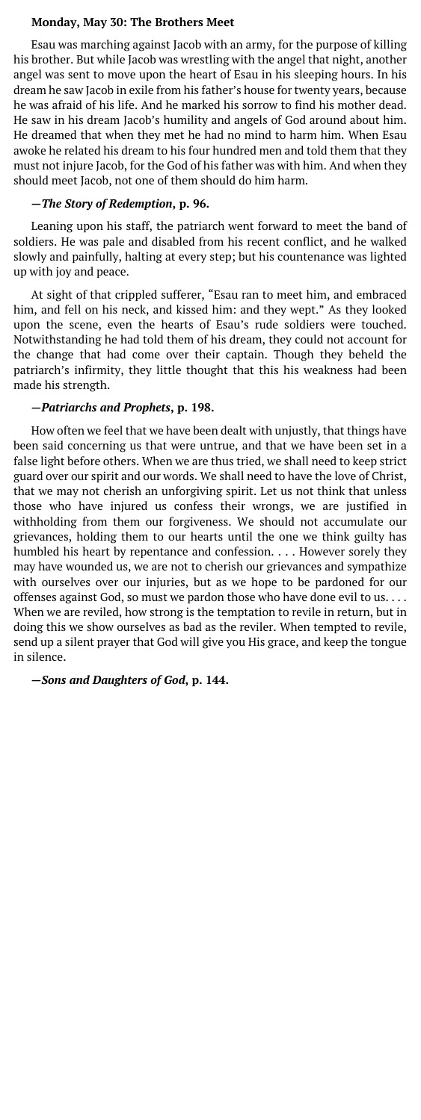#### **Monday, May 30: The Brothers Meet**

Esau was marching against Jacob with an army, for the purpose of killing his brother. But while Jacob was wrestling with the angel that night, another angel was sent to move upon the heart of Esau in his sleeping hours. In his dream he saw Jacob in exile from his father's house for twenty years, because he was afraid of his life. And he marked his sorrow to find his mother dead. He saw in his dream Jacob's humility and angels of God around about him. He dreamed that when they met he had no mind to harm him. When Esau awoke he related his dream to his four hundred men and told them that they must not injure Jacob, for the God of his father was with him. And when they should meet Jacob, not one of them should do him harm.

# **—***The Story of Redemption***, p. 96.**

Leaning upon his staff, the patriarch went forward to meet the band of soldiers. He was pale and disabled from his recent conflict, and he walked slowly and painfully, halting at every step; but his countenance was lighted up with joy and peace.

At sight of that crippled sufferer, "Esau ran to meet him, and embraced him, and fell on his neck, and kissed him: and they wept." As they looked upon the scene, even the hearts of Esau's rude soldiers were touched. Notwithstanding he had told them of his dream, they could not account for the change that had come over their captain. Though they beheld the patriarch's infirmity, they little thought that this his weakness had been made his strength.

#### **—***Patriarchs and Prophets***, p. 198.**

How often we feel that we have been dealt with unjustly, that things have been said concerning us that were untrue, and that we have been set in a false light before others. When we are thus tried, we shall need to keep strict guard over our spirit and our words. We shall need to have the love of Christ, that we may not cherish an unforgiving spirit. Let us not think that unless those who have injured us confess their wrongs, we are justified in withholding from them our forgiveness. We should not accumulate our grievances, holding them to our hearts until the one we think guilty has humbled his heart by repentance and confession. . . . However sorely they may have wounded us, we are not to cherish our grievances and sympathize with ourselves over our injuries, but as we hope to be pardoned for our offenses against God, so must we pardon those who have done evil to us. . . . When we are reviled, how strong is the temptation to revile in return, but in doing this we show ourselves as bad as the reviler. When tempted to revile, send up a silent prayer that God will give you His grace, and keep the tongue in silence.

**—***Sons and Daughters of God***, p. 144.**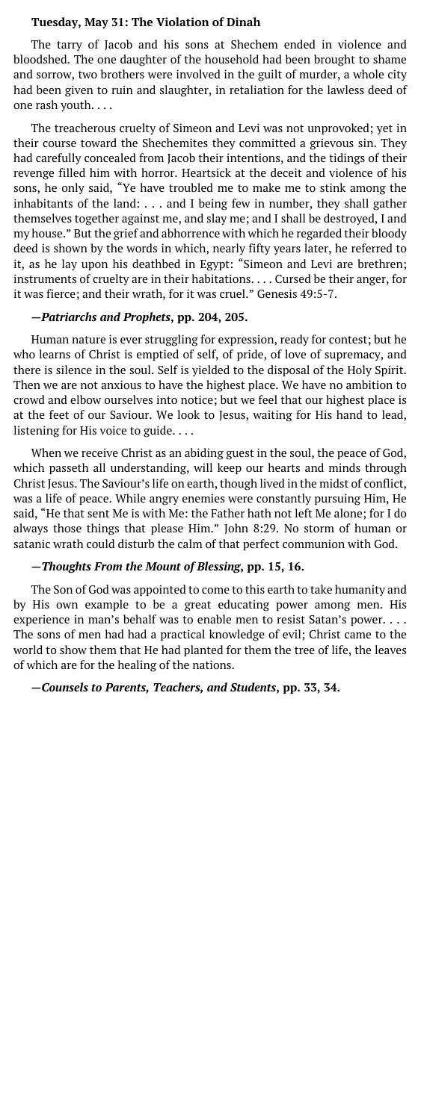## **Tuesday, May 31: The Violation of Dinah**

The tarry of Jacob and his sons at Shechem ended in violence and bloodshed. The one daughter of the household had been brought to shame and sorrow, two brothers were involved in the guilt of murder, a whole city had been given to ruin and slaughter, in retaliation for the lawless deed of one rash youth. . . .

The treacherous cruelty of Simeon and Levi was not unprovoked; yet in their course toward the Shechemites they committed a grievous sin. They had carefully concealed from Jacob their intentions, and the tidings of their revenge filled him with horror. Heartsick at the deceit and violence of his sons, he only said, "Ye have troubled me to make me to stink among the inhabitants of the land: . . . and I being few in number, they shall gather themselves together against me, and slay me; and I shall be destroyed, I and my house." But the grief and abhorrence with which he regarded their bloody deed is shown by the words in which, nearly fifty years later, he referred to it, as he lay upon his deathbed in Egypt: "Simeon and Levi are brethren; instruments of cruelty are in their habitations. . . . Cursed be their anger, for it was fierce; and their wrath, for it was cruel." Genesis 49:5-7.

# **—***Patriarchs and Prophets***, pp. 204, 205.**

Human nature is ever struggling for expression, ready for contest; but he who learns of Christ is emptied of self, of pride, of love of supremacy, and there is silence in the soul. Self is yielded to the disposal of the Holy Spirit. Then we are not anxious to have the highest place. We have no ambition to crowd and elbow ourselves into notice; but we feel that our highest place is at the feet of our Saviour. We look to Jesus, waiting for His hand to lead, listening for His voice to guide. . . .

When we receive Christ as an abiding guest in the soul, the peace of God, which passeth all understanding, will keep our hearts and minds through Christ Jesus. The Saviour's life on earth, though lived in the midst of conflict, was a life of peace. While angry enemies were constantly pursuing Him, He said, "He that sent Me is with Me: the Father hath not left Me alone; for I do always those things that please Him." John 8:29. No storm of human or satanic wrath could disturb the calm of that perfect communion with God.

## **—***Thoughts From the Mount of Blessing***, pp. 15, 16.**

The Son of God was appointed to come to this earth to take humanity and by His own example to be a great educating power among men. His experience in man's behalf was to enable men to resist Satan's power. . . . The sons of men had had a practical knowledge of evil; Christ came to the world to show them that He had planted for them the tree of life, the leaves of which are for the healing of the nations.

**—***Counsels to Parents, Teachers, and Students***, pp. 33, 34.**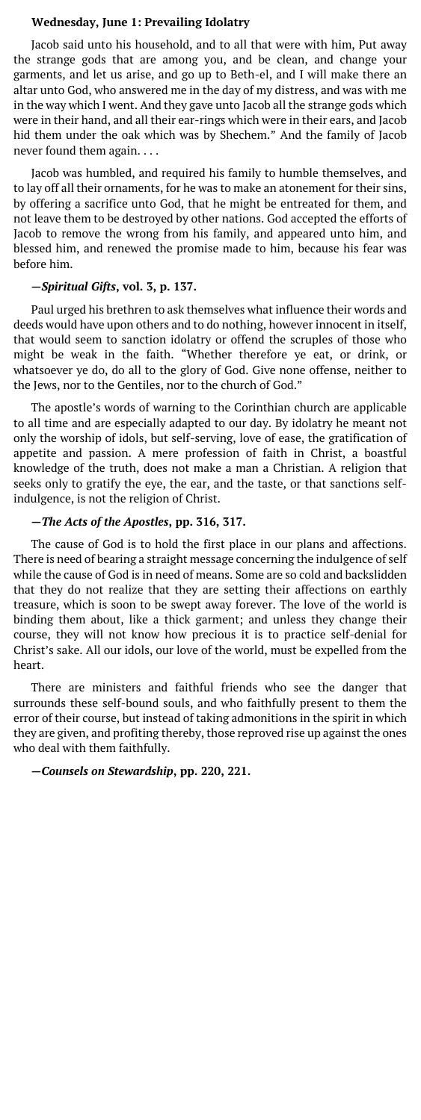### **Wednesday, June 1: Prevailing Idolatry**

Jacob said unto his household, and to all that were with him, Put away the strange gods that are among you, and be clean, and change your garments, and let us arise, and go up to Beth-el, and I will make there an altar unto God, who answered me in the day of my distress, and was with me in the way which I went. And they gave unto Jacob all the strange gods which were in their hand, and all their ear-rings which were in their ears, and Jacob hid them under the oak which was by Shechem." And the family of Jacob never found them again. . . .

Jacob was humbled, and required his family to humble themselves, and to lay off all their ornaments, for he was to make an atonement for their sins, by offering a sacrifice unto God, that he might be entreated for them, and not leave them to be destroyed by other nations. God accepted the efforts of Jacob to remove the wrong from his family, and appeared unto him, and blessed him, and renewed the promise made to him, because his fear was before him.

### **—***Spiritual Gifts***, vol. 3, p. 137.**

Paul urged his brethren to ask themselves what influence their words and deeds would have upon others and to do nothing, however innocent in itself, that would seem to sanction idolatry or offend the scruples of those who might be weak in the faith. "Whether therefore ye eat, or drink, or whatsoever ye do, do all to the glory of God. Give none offense, neither to the Jews, nor to the Gentiles, nor to the church of God."

The apostle's words of warning to the Corinthian church are applicable to all time and are especially adapted to our day. By idolatry he meant not only the worship of idols, but self-serving, love of ease, the gratification of appetite and passion. A mere profession of faith in Christ, a boastful knowledge of the truth, does not make a man a Christian. A religion that seeks only to gratify the eye, the ear, and the taste, or that sanctions selfindulgence, is not the religion of Christ.

## **—***The Acts of the Apostles***, pp. 316, 317.**

The cause of God is to hold the first place in our plans and affections. There is need of bearing a straight message concerning the indulgence of self while the cause of God is in need of means. Some are so cold and backslidden that they do not realize that they are setting their affections on earthly treasure, which is soon to be swept away forever. The love of the world is binding them about, like a thick garment; and unless they change their course, they will not know how precious it is to practice self-denial for Christ's sake. All our idols, our love of the world, must be expelled from the heart.

There are ministers and faithful friends who see the danger that surrounds these self-bound souls, and who faithfully present to them the error of their course, but instead of taking admonitions in the spirit in which they are given, and profiting thereby, those reproved rise up against the ones who deal with them faithfully.

## **—***Counsels on Stewardship***, pp. 220, 221.**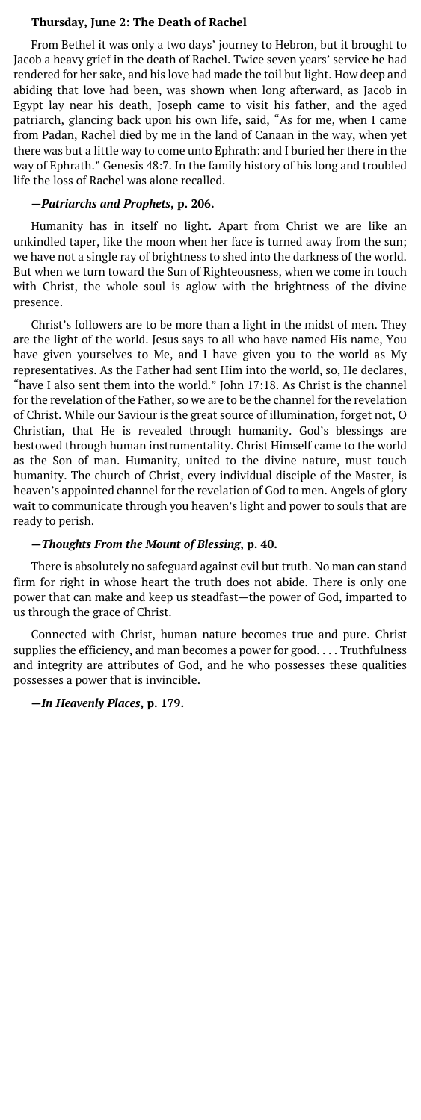## **Thursday, June 2: The Death of Rachel**

From Bethel it was only a two days' journey to Hebron, but it brought to Jacob a heavy grief in the death of Rachel. Twice seven years' service he had rendered for her sake, and his love had made the toil but light. How deep and abiding that love had been, was shown when long afterward, as Jacob in Egypt lay near his death, Joseph came to visit his father, and the aged patriarch, glancing back upon his own life, said, "As for me, when I came from Padan, Rachel died by me in the land of Canaan in the way, when yet there was but a little way to come unto Ephrath: and I buried her there in the way of Ephrath." Genesis 48:7. In the family history of his long and troubled life the loss of Rachel was alone recalled.

#### **—***Patriarchs and Prophets***, p. 206.**

Humanity has in itself no light. Apart from Christ we are like an unkindled taper, like the moon when her face is turned away from the sun; we have not a single ray of brightness to shed into the darkness of the world. But when we turn toward the Sun of Righteousness, when we come in touch with Christ, the whole soul is aglow with the brightness of the divine presence.

Christ's followers are to be more than a light in the midst of men. They are the light of the world. Jesus says to all who have named His name, You have given yourselves to Me, and I have given you to the world as My representatives. As the Father had sent Him into the world, so, He declares, "have I also sent them into the world." John 17:18. As Christ is the channel for the revelation of the Father, so we are to be the channel for the revelation of Christ. While our Saviour is the great source of illumination, forget not, O Christian, that He is revealed through humanity. God's blessings are bestowed through human instrumentality. Christ Himself came to the world as the Son of man. Humanity, united to the divine nature, must touch humanity. The church of Christ, every individual disciple of the Master, is heaven's appointed channel for the revelation of God to men. Angels of glory wait to communicate through you heaven's light and power to souls that are ready to perish.

#### **—***Thoughts From the Mount of Blessing***, p. 40.**

There is absolutely no safeguard against evil but truth. No man can stand firm for right in whose heart the truth does not abide. There is only one power that can make and keep us steadfast—the power of God, imparted to us through the grace of Christ.

Connected with Christ, human nature becomes true and pure. Christ supplies the efficiency, and man becomes a power for good. . . . Truthfulness and integrity are attributes of God, and he who possesses these qualities possesses a power that is invincible.

**—***In Heavenly Places***, p. 179.**